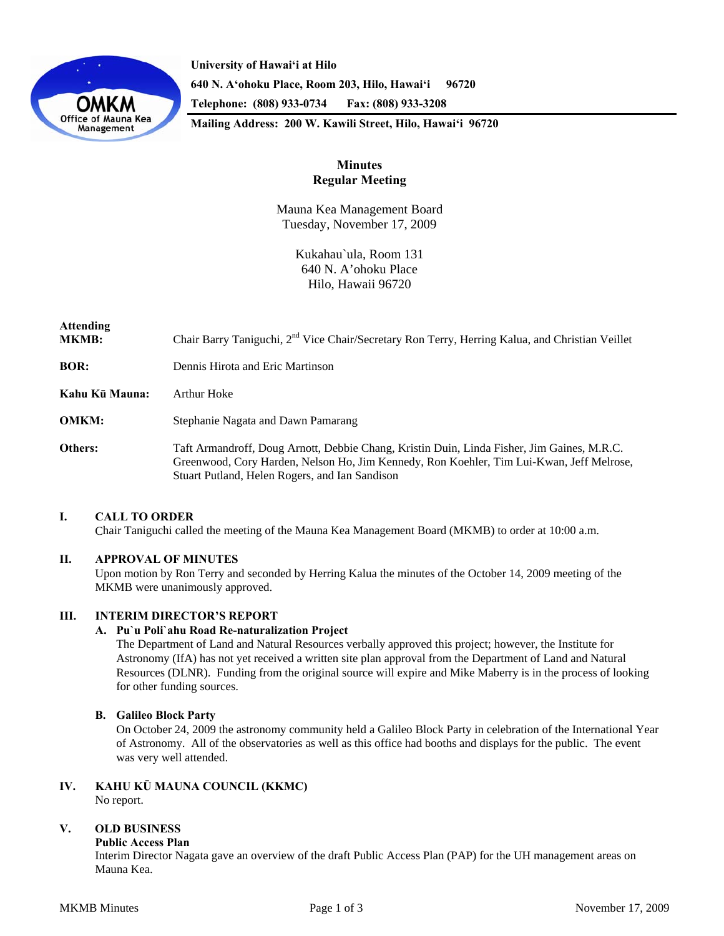

**University of Hawai'i at Hilo 640 N. A'ohoku Place, Room 203, Hilo, Hawai'i 96720 Telephone: (808) 933-0734 Fax: (808) 933-3208 Mailing Address: 200 W. Kawili Street, Hilo, Hawai'i 96720** 

# **Minutes Regular Meeting**

Mauna Kea Management Board Tuesday, November 17, 2009

> Kukahau`ula, Room 131 640 N. A'ohoku Place Hilo, Hawaii 96720

# **Attending MKMB:** Chair Barry Taniguchi, 2<sup>nd</sup> Vice Chair/Secretary Ron Terry, Herring Kalua, and Christian Veillet **BOR:** Dennis Hirota and Eric Martinson **Kahu Kū Mauna:** Arthur Hoke **OMKM:** Stephanie Nagata and Dawn Pamarang **Others:** Taft Armandroff, Doug Arnott, Debbie Chang, Kristin Duin, Linda Fisher, Jim Gaines, M.R.C. Greenwood, Cory Harden, Nelson Ho, Jim Kennedy, Ron Koehler, Tim Lui-Kwan, Jeff Melrose, Stuart Putland, Helen Rogers, and Ian Sandison

# **I. CALL TO ORDER**

Chair Taniguchi called the meeting of the Mauna Kea Management Board (MKMB) to order at 10:00 a.m.

# **II. APPROVAL OF MINUTES**

Upon motion by Ron Terry and seconded by Herring Kalua the minutes of the October 14, 2009 meeting of the MKMB were unanimously approved.

# **III. INTERIM DIRECTOR'S REPORT**

# **A. Pu`u Poli`ahu Road Re-naturalization Project**

The Department of Land and Natural Resources verbally approved this project; however, the Institute for Astronomy (IfA) has not yet received a written site plan approval from the Department of Land and Natural Resources (DLNR). Funding from the original source will expire and Mike Maberry is in the process of looking for other funding sources.

# **B. Galileo Block Party**

On October 24, 2009 the astronomy community held a Galileo Block Party in celebration of the International Year of Astronomy. All of the observatories as well as this office had booths and displays for the public. The event was very well attended.

#### **IV. KAHU KŪ MAUNA COUNCIL (KKMC)**  No report.

# **V. OLD BUSINESS**

# **Public Access Plan**

Interim Director Nagata gave an overview of the draft Public Access Plan (PAP) for the UH management areas on Mauna Kea.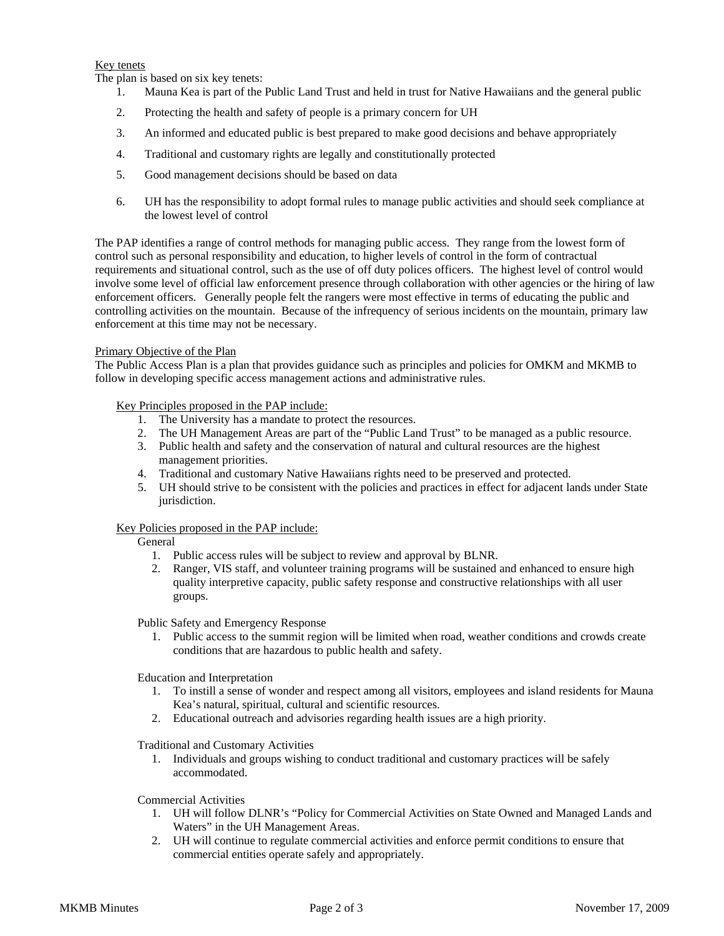# Key tenets

The plan is based on six key tenets:

- 1. Mauna Kea is part of the Public Land Trust and held in trust for Native Hawaiians and the general public
- 2. Protecting the health and safety of people is a primary concern for UH
- 3. An informed and educated public is best prepared to make good decisions and behave appropriately
- 4. Traditional and customary rights are legally and constitutionally protected
- 5. Good management decisions should be based on data
- 6. UH has the responsibility to adopt formal rules to manage public activities and should seek compliance at the lowest level of control

The PAP identifies a range of control methods for managing public access. They range from the lowest form of control such as personal responsibility and education, to higher levels of control in the form of contractual requirements and situational control, such as the use of off duty polices officers. The highest level of control would involve some level of official law enforcement presence through collaboration with other agencies or the hiring of law enforcement officers. Generally people felt the rangers were most effective in terms of educating the public and controlling activities on the mountain. Because of the infrequency of serious incidents on the mountain, primary law enforcement at this time may not be necessary.

# Primary Objective of the Plan

The Public Access Plan is a plan that provides guidance such as principles and policies for OMKM and MKMB to follow in developing specific access management actions and administrative rules.

Key Principles proposed in the PAP include:

- 1. The University has a mandate to protect the resources.
- 2. The UH Management Areas are part of the "Public Land Trust" to be managed as a public resource.
- 3. Public health and safety and the conservation of natural and cultural resources are the highest management priorities.
- 4. Traditional and customary Native Hawaiians rights need to be preserved and protected.
- 5. UH should strive to be consistent with the policies and practices in effect for adjacent lands under State jurisdiction.

# Key Policies proposed in the PAP include:

General

- 1. Public access rules will be subject to review and approval by BLNR.
- 2. Ranger, VIS staff, and volunteer training programs will be sustained and enhanced to ensure high quality interpretive capacity, public safety response and constructive relationships with all user groups.

Public Safety and Emergency Response

1. Public access to the summit region will be limited when road, weather conditions and crowds create conditions that are hazardous to public health and safety.

Education and Interpretation

- 1. To instill a sense of wonder and respect among all visitors, employees and island residents for Mauna Kea's natural, spiritual, cultural and scientific resources.
- 2. Educational outreach and advisories regarding health issues are a high priority.

Traditional and Customary Activities

1. Individuals and groups wishing to conduct traditional and customary practices will be safely accommodated.

Commercial Activities

- 1. UH will follow DLNR's "Policy for Commercial Activities on State Owned and Managed Lands and Waters" in the UH Management Areas.
- 2. UH will continue to regulate commercial activities and enforce permit conditions to ensure that commercial entities operate safely and appropriately.